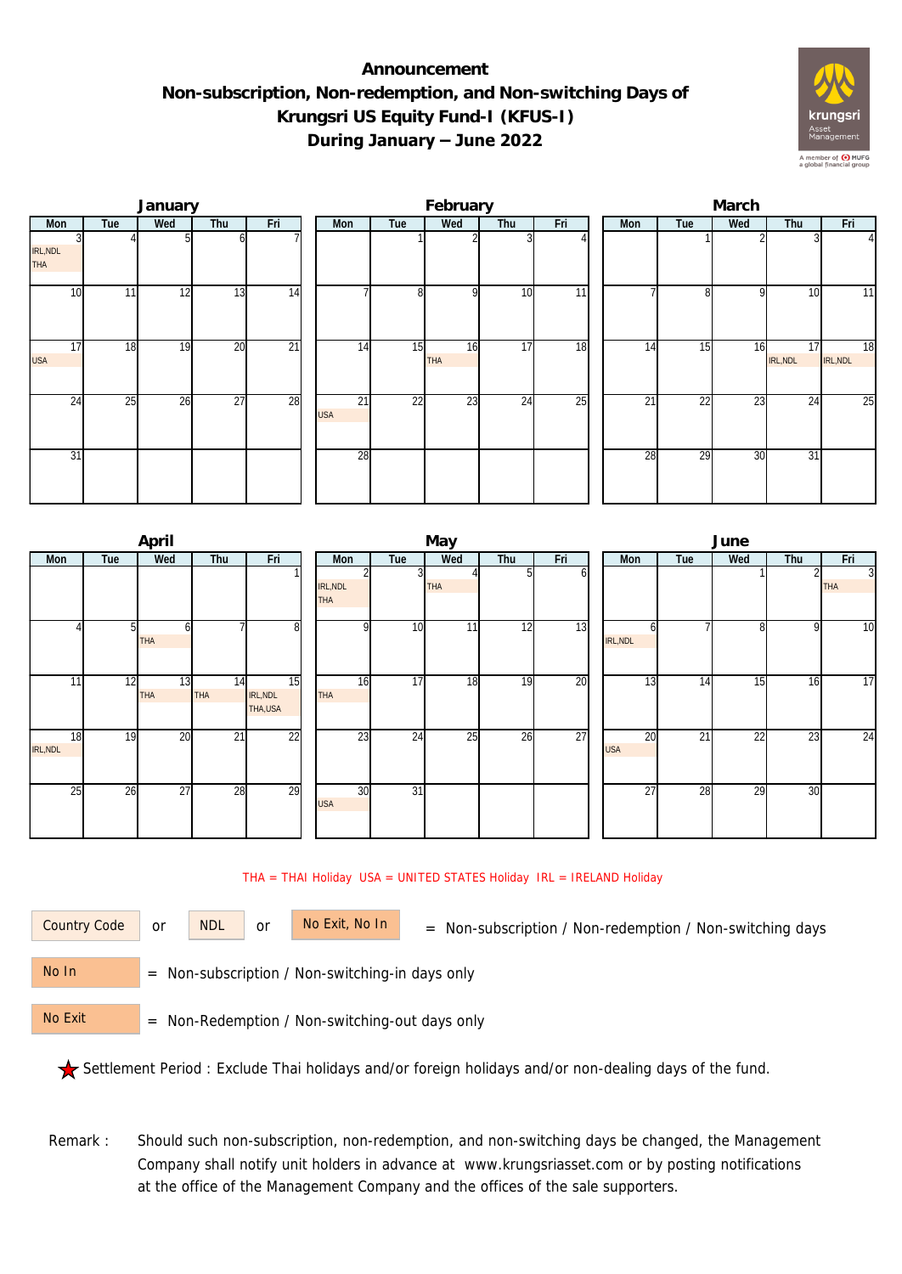## **Announcement Non-subscription, Non-redemption, and Non-switching Days of Krungsri US Equity Fund-I (KFUS-I) During January – June 2022**



|                               |     | January |     |                 | February         |                |                  |     |     |  | March |     |          |                |                |  |  |  |
|-------------------------------|-----|---------|-----|-----------------|------------------|----------------|------------------|-----|-----|--|-------|-----|----------|----------------|----------------|--|--|--|
| Mon                           | Tue | Wed     | Thu | Fri             | Mon              | Tue            | Wed              | Thu | Fri |  | Mon   | Tue | Wed      | Thu            | Fri            |  |  |  |
| IRL, NDL<br><b>THA</b>        |     |         |     |                 |                  |                |                  |     |     |  |       |     |          |                | 41             |  |  |  |
| 10                            | 11  | 12      | 13  | 14              |                  | 8 <sup>1</sup> | $\Omega$         | 10  | 11  |  |       | 81  | $\Omega$ | 10             | 11             |  |  |  |
| $1\overline{7}$<br><b>USA</b> | 18  | 19      | 20  | $\overline{21}$ | 14               | 15             | 16<br><b>THA</b> | 17  | 18  |  | 14    | 15  | 16       | 17<br>IRL, NDL | 18<br>IRL, NDL |  |  |  |
| 24                            | 25  | 26      | 27  | 28              | 21<br><b>USA</b> | 22             | 23               | 24  | 25  |  | 21    | 22  | 23       | 24             | 25             |  |  |  |
| 31                            |     |         |     |                 | 28               |                |                  |     |     |  | 28    | 29  | 30       | 31             |                |  |  |  |

|                       |                | April            |           |                           |                        |                 | May        |     |     | June             |     |     |     |                              |  |  |
|-----------------------|----------------|------------------|-----------|---------------------------|------------------------|-----------------|------------|-----|-----|------------------|-----|-----|-----|------------------------------|--|--|
| Mon                   | Tue            | Wed              | Thu       | Fri                       | Mon                    | Tue             | Wed        | Thu | Fri | Mon              | Tue | Wed | Thu | Fri                          |  |  |
|                       |                |                  |           |                           | IRL, NDL<br><b>THA</b> | 3               | <b>THA</b> |     | n   |                  |     |     |     | $\overline{3}$<br><b>THA</b> |  |  |
|                       | 5 <sub>l</sub> | <b>THA</b>       |           | 8                         | o                      | 10              | 11         | 12  | 13  | n<br>IRL, NDL    |     | 8   | 9   | 10                           |  |  |
| 11                    | 12             | 13<br><b>THA</b> | 14<br>THA | 15<br>IRL, NDL<br>THA,USA | 16<br><b>THA</b>       | $\overline{17}$ | 18         | 19  | 20  | 13               | 14  | 15  | 16  | 17                           |  |  |
| 18<br><b>IRL, NDL</b> | 19             | 20               | 21        | $\overline{22}$           | $2\overline{3}$        | 24              | 25         | 26  | 27  | 20<br><b>USA</b> | 21  | 22  | 23  | 24                           |  |  |
| 25                    | 26             | 27               | 28        | 29                        | 30<br><b>USA</b>       | $\overline{31}$ |            |     |     | 27               | 28  | 29  | 30  |                              |  |  |

## THA = THAI Holiday USA = UNITED STATES Holiday IRL = IRELAND Holiday

| Country i |  |
|-----------|--|
|           |  |

or NDL or

= Non-subscription / Non-redemption / Non-switching days Country Code No Exit, No In

 = Non-subscription / Non-switching-in days only No In

 = Non-Redemption / Non-switching-out days only No Exit

Settlement Period : Exclude Thai holidays and/or foreign holidays and/or non-dealing days of the fund.

Remark : Should such non-subscription, non-redemption, and non-switching days be changed, the Management Company shall notify unit holders in advance at www.krungsriasset.com or by posting notifications at the office of the Management Company and the offices of the sale supporters.